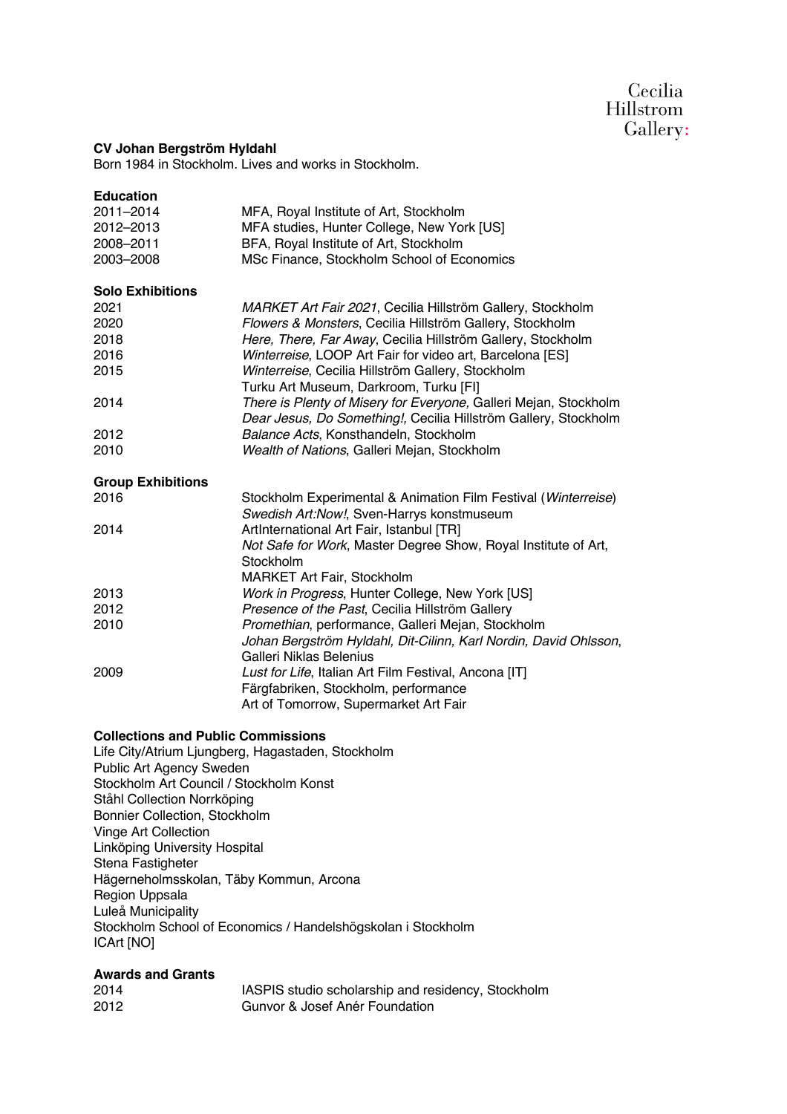## Cecilia **Hillstrom** Gallery:

## **CV Johan Bergström Hyldahl**

Born 1984 in Stockholm. Lives and works in Stockholm.

| <b>Education</b><br>2011-2014<br>2012-2013<br>2008-2011 | MFA, Royal Institute of Art, Stockholm<br>MFA studies, Hunter College, New York [US]<br>BFA, Royal Institute of Art, Stockholm                   |
|---------------------------------------------------------|--------------------------------------------------------------------------------------------------------------------------------------------------|
| 2003-2008                                               | MSc Finance, Stockholm School of Economics                                                                                                       |
| <b>Solo Exhibitions</b>                                 |                                                                                                                                                  |
| 2021                                                    | MARKET Art Fair 2021, Cecilia Hillström Gallery, Stockholm                                                                                       |
| 2020                                                    | Flowers & Monsters, Cecilia Hillström Gallery, Stockholm                                                                                         |
| 2018                                                    | Here, There, Far Away, Cecilia Hillström Gallery, Stockholm                                                                                      |
| 2016                                                    | Winterreise, LOOP Art Fair for video art, Barcelona [ES]                                                                                         |
| 2015                                                    | Winterreise, Cecilia Hillström Gallery, Stockholm<br>Turku Art Museum, Darkroom, Turku [FI]                                                      |
| 2014                                                    | There is Plenty of Misery for Everyone, Galleri Mejan, Stockholm<br>Dear Jesus, Do Something!, Cecilia Hillström Gallery, Stockholm              |
| 2012                                                    | Balance Acts, Konsthandeln, Stockholm                                                                                                            |
| 2010                                                    | Wealth of Nations, Galleri Mejan, Stockholm                                                                                                      |
| <b>Group Exhibitions</b>                                |                                                                                                                                                  |
| 2016                                                    | Stockholm Experimental & Animation Film Festival (Winterreise)<br>Swedish Art:Now!, Sven-Harrys konstmuseum                                      |
| 2014                                                    | ArtInternational Art Fair, Istanbul [TR]                                                                                                         |
|                                                         | Not Safe for Work, Master Degree Show, Royal Institute of Art,<br>Stockholm                                                                      |
|                                                         | MARKET Art Fair, Stockholm                                                                                                                       |
| 2013                                                    | Work in Progress, Hunter College, New York [US]                                                                                                  |
| 2012                                                    | Presence of the Past, Cecilia Hillström Gallery                                                                                                  |
| 2010                                                    | Promethian, performance, Galleri Mejan, Stockholm<br>Johan Bergström Hyldahl, Dit-Cilinn, Karl Nordin, David Ohlsson,<br>Galleri Niklas Belenius |
| 2009                                                    | Lust for Life, Italian Art Film Festival, Ancona [IT]<br>Färgfabriken, Stockholm, performance<br>Art of Tomorrow, Supermarket Art Fair           |

## **Collections and Public Commissions**

Life City/Atrium Ljungberg, Hagastaden, Stockholm Public Art Agency Sweden Stockholm Art Council / Stockholm Konst Ståhl Collection Norrköping Bonnier Collection, Stockholm Vinge Art Collection Linköping University Hospital Stena Fastigheter Hägerneholmsskolan, Täby Kommun, Arcona Region Uppsala Luleå Municipality Stockholm School of Economics / Handelshögskolan i Stockholm ICArt [NO]

## **Awards and Grants**

| 2014 | IASPIS studio scholarship and residency, Stockholm |
|------|----------------------------------------------------|
| 2012 | Gunvor & Josef Anér Foundation                     |